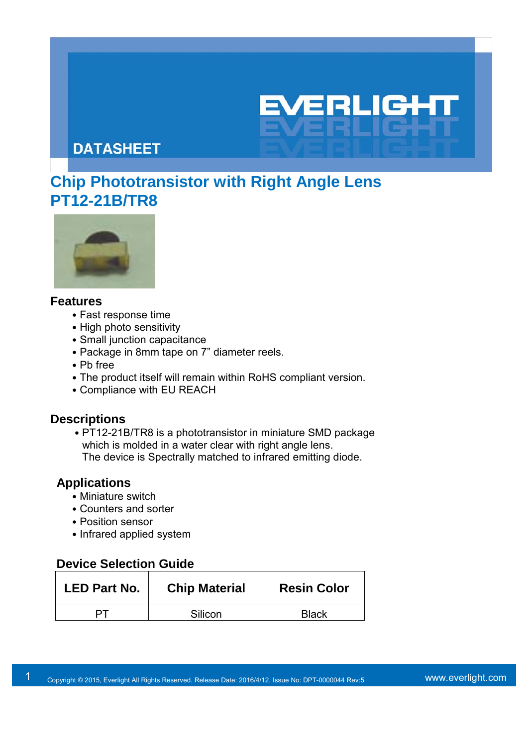21-11

# **DATASHEET**

# **Chip Phototransistor with Right Angle Lens PT12-21B/TR8**



#### **Features**

- ․Fast response time
- High photo sensitivity
- Small junction capacitance
- Package in 8mm tape on 7" diameter reels.
- ․Pb free
- The product itself will remain within RoHS compliant version.
- Compliance with EU REACH

#### **Descriptions**

• PT12-21B/TR8 is a phototransistor in miniature SMD package which is molded in a water clear with right angle lens. The device is Spectrally matched to infrared emitting diode.

#### **Applications**

- Miniature switch
- Counters and sorter
- Position sensor
- Infrared applied system

## **Device Selection Guide**

| LED Part No. | <b>Chip Material</b> | <b>Resin Color</b> |
|--------------|----------------------|--------------------|
|              | Silicon              | <b>Black</b>       |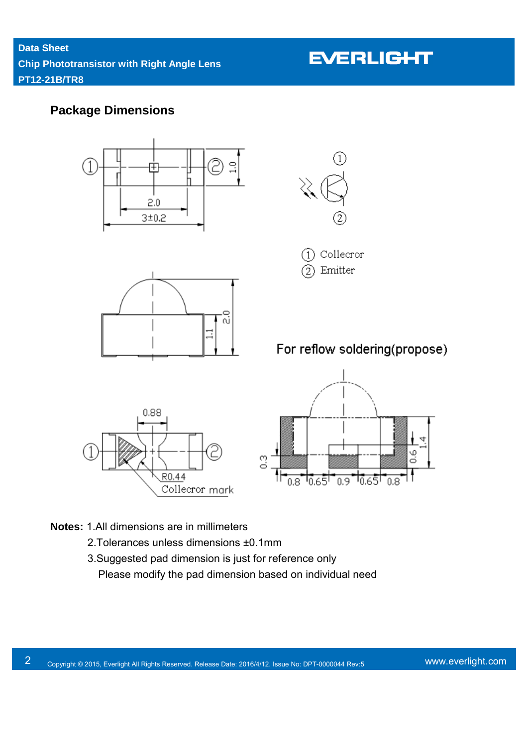## **Package Dimensions**



- **Notes:** 1.All dimensions are in millimeters
	- 2.Tolerances unless dimensions ±0.1mm
	- 3.Suggested pad dimension is just for reference only Please modify the pad dimension based on individual need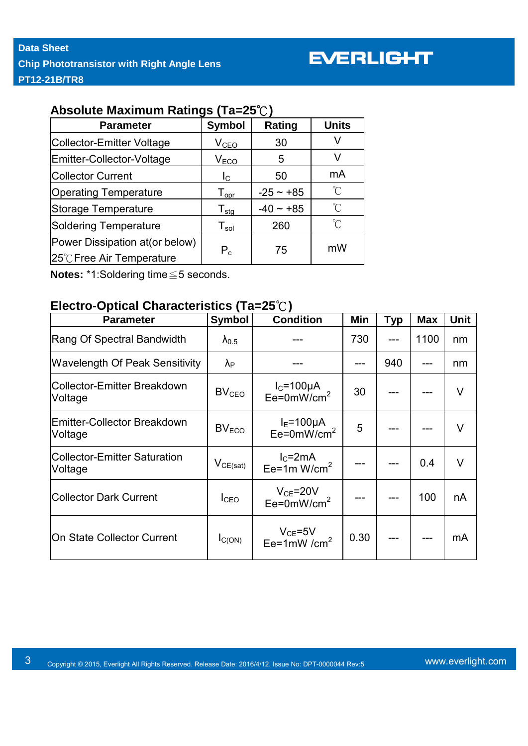### **Absolute Maximum Ratings (Ta=25**℃**)**

| <b>Parameter</b>                 | Symbol                       | <b>Rating</b> | <b>Units</b>        |  |
|----------------------------------|------------------------------|---------------|---------------------|--|
| <b>Collector-Emitter Voltage</b> | V <sub>CEO</sub>             | 30            |                     |  |
| Emitter-Collector-Voltage        | V <sub>ECO</sub>             | 5             |                     |  |
| <b>Collector Current</b>         | $I_{\rm C}$                  | 50            | mA                  |  |
| <b>Operating Temperature</b>     | ${\mathsf T}_{\mathsf{opr}}$ | $-25 - 85$    | $\int_{0}^{\infty}$ |  |
| <b>Storage Temperature</b>       | ${\mathsf T}_{\textsf{stg}}$ | $-40 - +85$   | $\int_{0}^{\infty}$ |  |
| <b>Soldering Temperature</b>     | ${\mathsf T}_{\mathsf{sol}}$ | 260           | $^{\circ}C$         |  |
| Power Dissipation at (or below)  | $P_c$                        | 75            | mW                  |  |
| 25℃ Free Air Temperature         |                              |               |                     |  |

**Notes:** \*1:Soldering time≦5 seconds.

### **Electro-Optical Characteristics (Ta=25**℃**)**

| <b>Parameter</b>                               | <b>Symbol</b>          | <b>Condition</b>                            | Min  | <b>Typ</b> | <b>Max</b> | Unit   |  |  |  |
|------------------------------------------------|------------------------|---------------------------------------------|------|------------|------------|--------|--|--|--|
| Rang Of Spectral Bandwidth                     | $\lambda_{0.5}$        |                                             | 730  | 41         | 1100       | nm     |  |  |  |
| <b>Wavelength Of Peak Sensitivity</b>          | $\lambda_{\mathsf{P}}$ |                                             |      | 940        |            | nm     |  |  |  |
| <b>Collector-Emitter Breakdown</b><br>Voltage  | BV <sub>CEO</sub>      | $I_c = 100 \mu A$<br>Ee=0mW/cm <sup>2</sup> | 30   |            |            | V      |  |  |  |
| <b>Emitter-Collector Breakdown</b><br>Voltage  | BV <sub>ECO</sub>      | $IE=100\mu A$<br>$Ee=0mW/cm2$               | 5    |            |            | $\vee$ |  |  |  |
| <b>Collector-Emitter Saturation</b><br>Voltage | $V_{CE(sat)}$          | $I_{C}$ =2mA<br>Ee=1m $W/cm2$               |      |            | 0.4        | V      |  |  |  |
| <b>Collector Dark Current</b>                  | I <sub>CEO</sub>       | $V_{CE}$ =20V<br>Ee=0mW/cm <sup>2</sup>     |      |            | 100        | nA     |  |  |  |
| On State Collector Current                     | $I_{C(ON)}$            | $V_{CE}$ =5V<br>Ee=1mW /cm <sup>2</sup>     | 0.30 |            |            | mA     |  |  |  |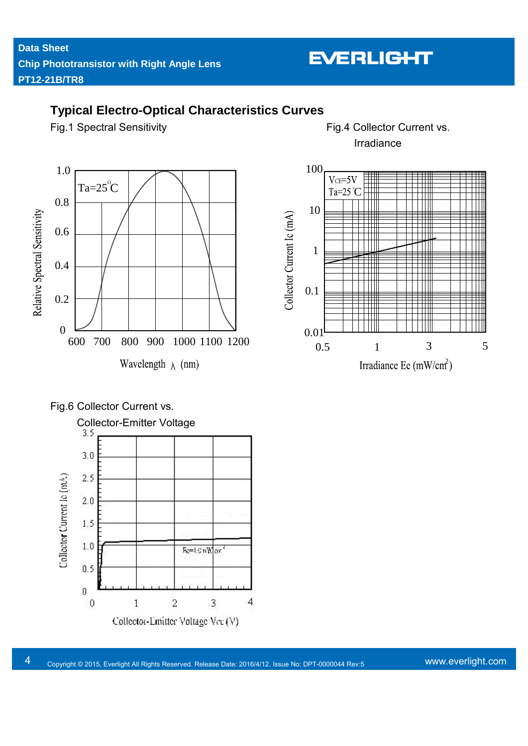## **Typical Electro-Optical Characteristics Curves**

Fig.1 Spectral Sensitivity **Fig.4 Collector Current vs.** Irradiance

> Ŧ  $\mathbb{H}$

> ₩ 711

> $\mathbb{H}$

Ш

5



## Fig.6 Collector Current vs.



Ver.: Release Date: Confidential Level: :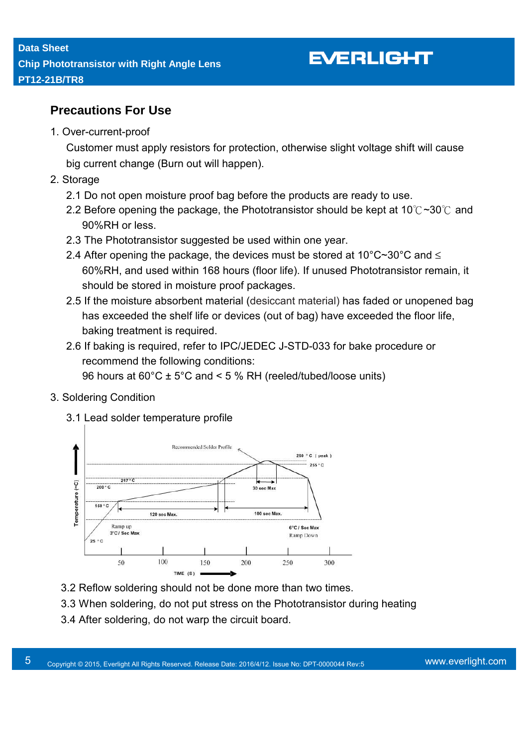## **Precautions For Use**

1. Over-current-proof

Customer must apply resistors for protection, otherwise slight voltage shift will cause big current change (Burn out will happen).

- 2. Storage
	- 2.1 Do not open moisture proof bag before the products are ready to use.
	- 2.2 Before opening the package, the Phototransistor should be kept at 10℃~30℃ and 90%RH or less.
	- 2.3 The Phototransistor suggested be used within one year.
	- 2.4 After opening the package, the devices must be stored at 10 $^{\circ}$ C $\sim$ 30 $^{\circ}$ C and  $\le$ 60%RH, and used within 168 hours (floor life). If unused Phototransistor remain, it should be stored in moisture proof packages.
	- 2.5 If the moisture absorbent material (desiccant material) has faded or unopened bag has exceeded the shelf life or devices (out of bag) have exceeded the floor life, baking treatment is required.
	- 2.6 If baking is required, refer to IPC/JEDEC J-STD-033 for bake procedure or recommend the following conditions:

96 hours at  $60^{\circ}$ C ± 5°C and < 5 % RH (reeled/tubed/loose units)

#### 3. Soldering Condition

3.1 Lead solder temperature profile



- 3.2 Reflow soldering should not be done more than two times.
- 3.3 When soldering, do not put stress on the Phototransistor during heating
- 3.4 After soldering, do not warp the circuit board.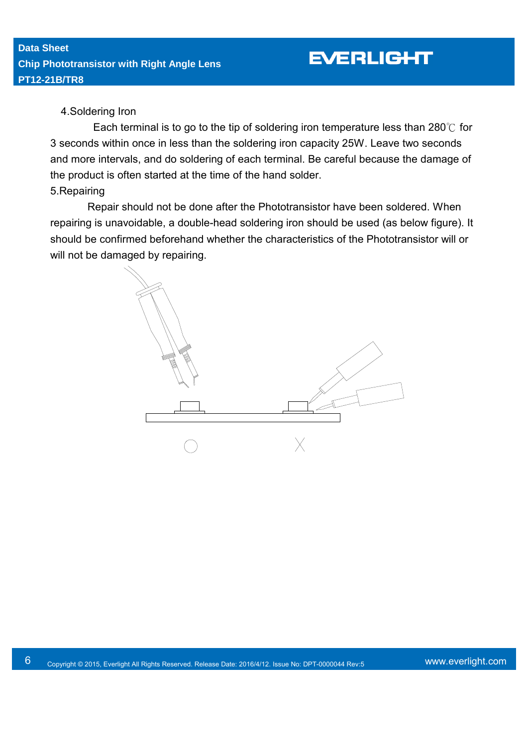#### 4.Soldering Iron

Each terminal is to go to the tip of soldering iron temperature less than 280℃ for 3 seconds within once in less than the soldering iron capacity 25W. Leave two seconds and more intervals, and do soldering of each terminal. Be careful because the damage of the product is often started at the time of the hand solder.

#### 5.Repairing

 Repair should not be done after the Phototransistor have been soldered. When repairing is unavoidable, a double-head soldering iron should be used (as below figure). It should be confirmed beforehand whether the characteristics of the Phototransistor will or will not be damaged by repairing.

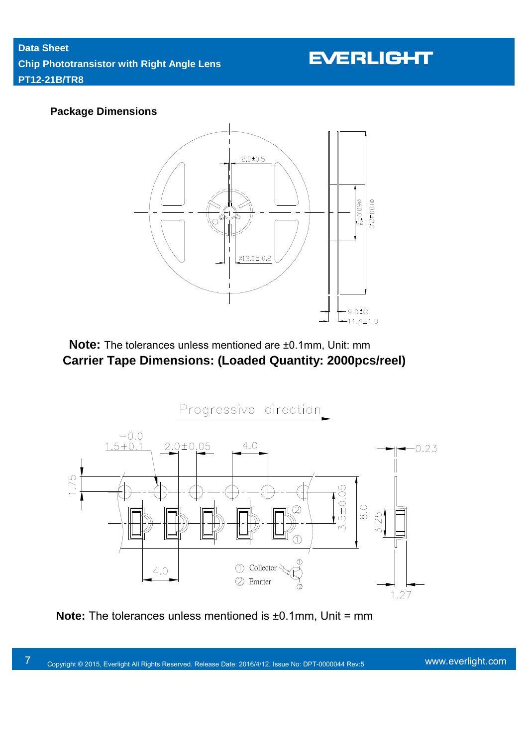#### **Package Dimensions**



 **Note:** The tolerances unless mentioned are ±0.1mm, Unit: mm **Carrier Tape Dimensions: (Loaded Quantity: 2000pcs/reel)** 



**Note:** The tolerances unless mentioned is ±0.1mm, Unit = mm